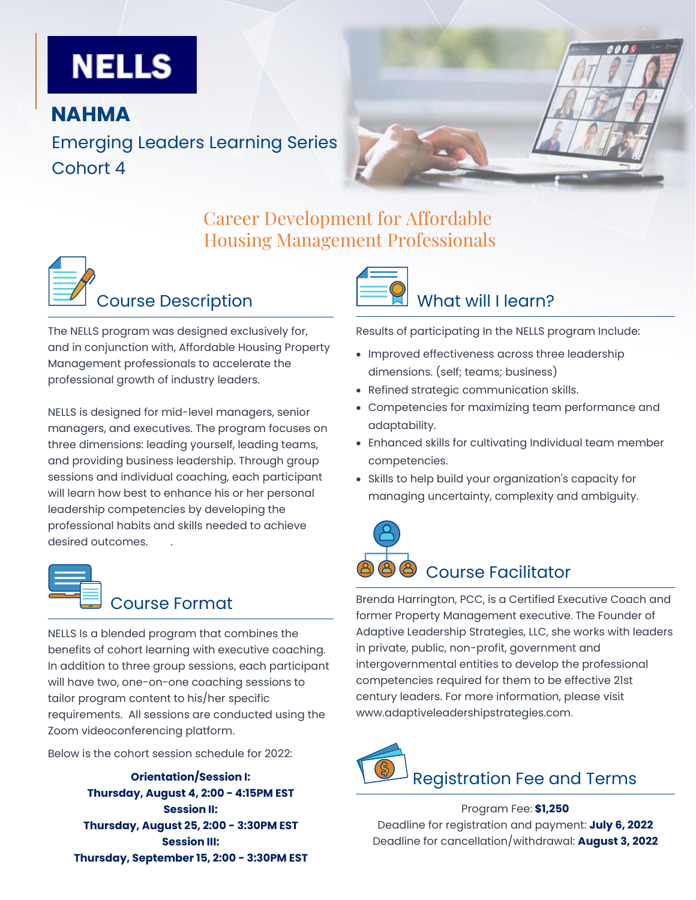# **NELLS**

#### **NAHMA**

Emerging Leaders Learning Series Cohort 4

## Career Development for Affordable Housing Management Professionals



The NELLS program was designed exclusively for, and in conjunction with, Affordable Housing Property Management professionals to accelerate the professional growth of industry leaders.

NELLS is designed for mid-level managers, senior managers, and executives. The program focuses on three dimensions: leading yourself, leading teams, and providing business leadership. Through group sessions and individual coaching, each participant will learn how best to enhance his or her personal leadership competencies by developing the professional habits and skills needed to achieve desired outcomes. .



# Course Format

NELLS Is a blended program that combines the benefits of cohort learning with executive coaching. In addition to three group sessions, each participant will have two, one-on-one coaching sessions to tailor program content to his/her specific requirements. All sessions are conducted using the Zoom videoconferencing platform.

Below is the cohort session schedule for 2022:

**Orientation/Session I: Thursday, August 4, 2:00 - 4:15PM EST Session II: Thursday, August 25, 2:00 - 3:30PM EST Session III: Thursday, September 15, 2:00 - 3:30PM EST**



Results of participating In the NELLS program Include:

- Improved effectiveness across three leadership dimensions. (self; teams; business)
- Refined strategic communication skills.
- Competencies for maximizing team performance and adaptability.
- Enhanced skills for cultivating Individual team member competencies.
- Skills to help build your organization's capacity for managing uncertainty, complexity and ambiguity.

# Course Facilitator

Brenda Harrington, PCC, is a Certified Executive Coach and former Property Management executive. The Founder of Adaptive Leadership Strategies, LLC, she works with leaders in private, public, non-profit, government and intergovernmental entities to develop the professional competencies required for them to be effective 21st century leaders. For more information, please visit www.adaptiveleadershipstrategies.com.



Program Fee: **\$1,250** Deadline for registration and payment: **July 6, 2022** Deadline for cancellation/withdrawal: **August 3, 2022**